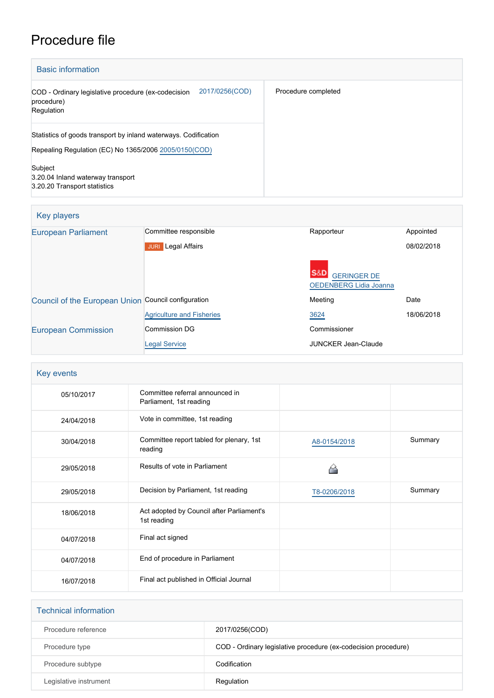# Procedure file

| <b>Basic information</b>                                                                                                 |                     |
|--------------------------------------------------------------------------------------------------------------------------|---------------------|
| 2017/0256(COD)<br>COD - Ordinary legislative procedure (ex-codecision<br>procedure)<br>Regulation                        | Procedure completed |
| Statistics of goods transport by inland waterways. Codification<br>Repealing Regulation (EC) No 1365/2006 2005/0150(COD) |                     |
| Subject<br>3.20.04 Inland waterway transport<br>3.20.20 Transport statistics                                             |                     |

| Key players                                         |                                     |                                                     |            |
|-----------------------------------------------------|-------------------------------------|-----------------------------------------------------|------------|
| <b>European Parliament</b>                          | Committee responsible               | Rapporteur                                          | Appointed  |
|                                                     | <b>Legal Affairs</b><br><b>JURI</b> |                                                     | 08/02/2018 |
|                                                     |                                     | <b>GERINGER DE</b><br><b>OEDENBERG Lidia Joanna</b> |            |
| Council of the European Union Council configuration |                                     | Meeting                                             | Date       |
|                                                     | <b>Agriculture and Fisheries</b>    | 3624                                                | 18/06/2018 |
| <b>European Commission</b>                          | <b>Commission DG</b>                | Commissioner                                        |            |
|                                                     | <b>Legal Service</b>                | <b>JUNCKER Jean-Claude</b>                          |            |

| Key events |                                                            |              |         |
|------------|------------------------------------------------------------|--------------|---------|
| 05/10/2017 | Committee referral announced in<br>Parliament, 1st reading |              |         |
| 24/04/2018 | Vote in committee, 1st reading                             |              |         |
| 30/04/2018 | Committee report tabled for plenary, 1st<br>reading        | A8-0154/2018 | Summary |
| 29/05/2018 | Results of vote in Parliament                              |              |         |
| 29/05/2018 | Decision by Parliament, 1st reading                        | T8-0206/2018 | Summary |
| 18/06/2018 | Act adopted by Council after Parliament's<br>1st reading   |              |         |
| 04/07/2018 | Final act signed                                           |              |         |
| 04/07/2018 | End of procedure in Parliament                             |              |         |
| 16/07/2018 | Final act published in Official Journal                    |              |         |

| <b>Technical information</b> |                                                                |
|------------------------------|----------------------------------------------------------------|
| Procedure reference          | 2017/0256(COD)                                                 |
| Procedure type               | COD - Ordinary legislative procedure (ex-codecision procedure) |
| Procedure subtype            | Codification                                                   |
| Legislative instrument       | Regulation                                                     |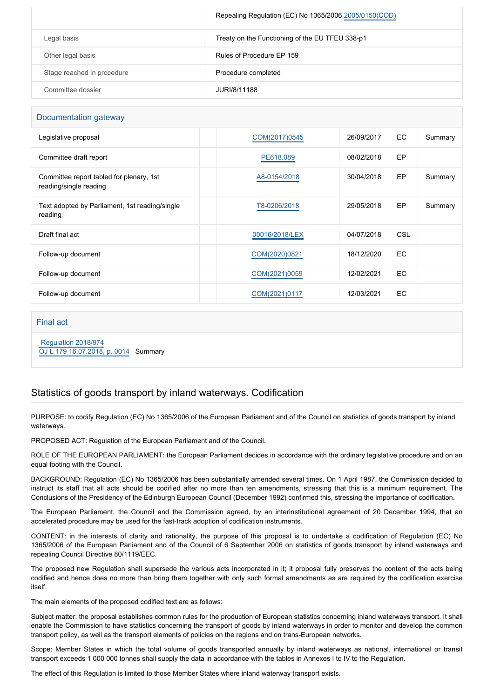|                            | Repealing Regulation (EC) No 1365/2006 2005/0150(COD) |
|----------------------------|-------------------------------------------------------|
| Legal basis                | Treaty on the Functioning of the EU TFEU 338-p1       |
| Other legal basis          | Rules of Procedure EP 159                             |
| Stage reached in procedure | Procedure completed                                   |
| Committee dossier          | JURI/8/11188                                          |

#### Documentation gateway

| Legislative proposal                                               | COM(2017)0545  | 26/09/2017 | EC  | Summary |
|--------------------------------------------------------------------|----------------|------------|-----|---------|
| Committee draft report                                             | PE618,089      | 08/02/2018 | EP  |         |
| Committee report tabled for plenary, 1st<br>reading/single reading | A8-0154/2018   | 30/04/2018 | EP  | Summary |
| Text adopted by Parliament, 1st reading/single<br>reading          | T8-0206/2018   | 29/05/2018 | EP  | Summary |
| Draft final act                                                    | 00016/2018/LEX | 04/07/2018 | CSL |         |
| Follow-up document                                                 | COM(2020)0821  | 18/12/2020 | EC  |         |
| Follow-up document                                                 | COM(2021)0059  | 12/02/2021 | EC  |         |
| Follow-up document                                                 | COM(2021)0117  | 12/03/2021 | EC  |         |

#### Final act

 [Regulation 2018/974](https://eur-lex.europa.eu/smartapi/cgi/sga_doc?smartapi!celexplus!prod!CELEXnumdoc&lg=EN&numdoc=32018R0974)

[OJ L 179 16.07.2018, p. 0014](https://eur-lex.europa.eu/legal-content/EN/TXT/?uri=OJ:L:2018:179:TOC) Summary

# Statistics of goods transport by inland waterways. Codification

PURPOSE: to codify Regulation (EC) No 1365/2006 of the European Parliament and of the Council on statistics of goods transport by inland waterways.

PROPOSED ACT: Regulation of the European Parliament and of the Council.

ROLE OF THE EUROPEAN PARLIAMENT: the European Parliament decides in accordance with the ordinary legislative procedure and on an equal footing with the Council.

BACKGROUND: Regulation (EC) No 1365/2006 has been substantially amended several times. On 1 April 1987, the Commission decided to instruct its staff that all acts should be codified after no more than ten amendments, stressing that this is a minimum requirement. The Conclusions of the Presidency of the Edinburgh European Council (December 1992) confirmed this, stressing the importance of codification.

The European Parliament, the Council and the Commission agreed, by an interinstitutional agreement of 20 December 1994, that an accelerated procedure may be used for the fast-track adoption of codification instruments.

CONTENT: in the interests of clarity and rationality, the purpose of this proposal is to undertake a codification of Regulation (EC) No 1365/2006 of the European Parliament and of the Council of 6 September 2006 on statistics of goods transport by inland waterways and repealing Council Directive 80/1119/EEC.

The proposed new Regulation shall supersede the various acts incorporated in it; it proposal fully preserves the content of the acts being codified and hence does no more than bring them together with only such formal amendments as are required by the codification exercise itself.

The main elements of the proposed codified text are as follows:

Subject matter: the proposal establishes common rules for the production of European statistics concerning inland waterways transport. It shall enable the Commission to have statistics concerning the transport of goods by inland waterways in order to monitor and develop the common transport policy, as well as the transport elements of policies on the regions and on trans-European networks.

Scope: Member States in which the total volume of goods transported annually by inland waterways as national, international or transit transport exceeds 1 000 000 tonnes shall supply the data in accordance with the tables in Annexes I to IV to the Regulation.

The effect of this Regulation is limited to those Member States where inland waterway transport exists.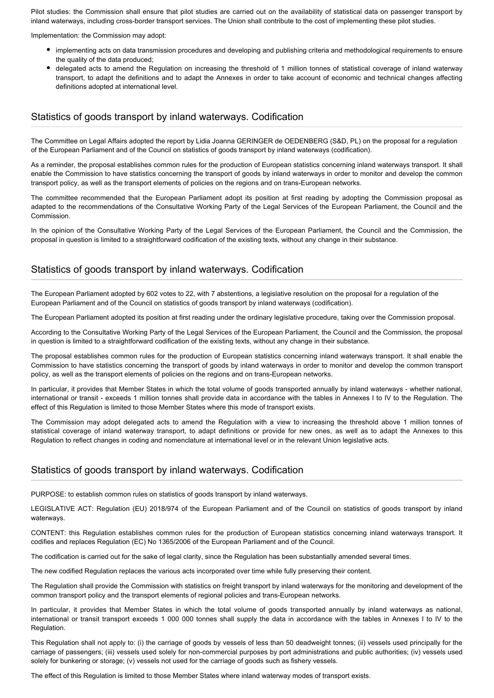Pilot studies: the Commission shall ensure that pilot studies are carried out on the availability of statistical data on passenger transport by inland waterways, including cross-border transport services. The Union shall contribute to the cost of implementing these pilot studies.

Implementation: the Commission may adopt:

- implementing acts on data transmission procedures and developing and publishing criteria and methodological requirements to ensure the quality of the data produced;
- delegated acts to amend the Regulation on increasing the threshold of 1 million tonnes of statistical coverage of inland waterway transport, to adapt the definitions and to adapt the Annexes in order to take account of economic and technical changes affecting definitions adopted at international level.

### Statistics of goods transport by inland waterways. Codification

The Committee on Legal Affairs adopted the report by Lidia Joanna GERINGER de OEDENBERG (S&D, PL) on the proposal for a regulation of the European Parliament and of the Council on statistics of goods transport by inland waterways (codification).

As a reminder, the proposal establishes common rules for the production of European statistics concerning inland waterways transport. It shall enable the Commission to have statistics concerning the transport of goods by inland waterways in order to monitor and develop the common transport policy, as well as the transport elements of policies on the regions and on trans-European networks.

The committee recommended that the European Parliament adopt its position at first reading by adopting the Commission proposal as adapted to the recommendations of the Consultative Working Party of the Legal Services of the European Parliament, the Council and the Commission.

In the opinion of the Consultative Working Party of the Legal Services of the European Parliament, the Council and the Commission, the proposal in question is limited to a straightforward codification of the existing texts, without any change in their substance.

## Statistics of goods transport by inland waterways. Codification

The European Parliament adopted by 602 votes to 22, with 7 abstentions, a legislative resolution on the proposal for a regulation of the European Parliament and of the Council on statistics of goods transport by inland waterways (codification).

The European Parliament adopted its position at first reading under the ordinary legislative procedure, taking over the Commission proposal.

According to the Consultative Working Party of the Legal Services of the European Parliament, the Council and the Commission, the proposal in question is limited to a straightforward codification of the existing texts, without any change in their substance.

The proposal establishes common rules for the production of European statistics concerning inland waterways transport. It shall enable the Commission to have statistics concerning the transport of goods by inland waterways in order to monitor and develop the common transport policy, as well as the transport elements of policies on the regions and on trans-European networks.

In particular, it provides that Member States in which the total volume of goods transported annually by inland waterways - whether national, international or transit - exceeds 1 million tonnes shall provide data in accordance with the tables in Annexes I to IV to the Regulation. The effect of this Regulation is limited to those Member States where this mode of transport exists.

The Commission may adopt delegated acts to amend the Regulation with a view to increasing the threshold above 1 million tonnes of statistical coverage of inland waterway transport, to adapt definitions or provide for new ones, as well as to adapt the Annexes to this Regulation to reflect changes in coding and nomenclature at international level or in the relevant Union legislative acts.

# Statistics of goods transport by inland waterways. Codification

PURPOSE: to establish common rules on statistics of goods transport by inland waterways.

LEGISLATIVE ACT: Regulation (EU) 2018/974 of the European Parliament and of the Council on statistics of goods transport by inland waterways.

CONTENT: this Regulation establishes common rules for the production of European statistics concerning inland waterways transport. It codifies and replaces Regulation (EC) No 1365/2006 of the European Parliament and of the Council.

The codification is carried out for the sake of legal clarity, since the Regulation has been substantially amended several times.

The new codified Regulation replaces the various acts incorporated over time while fully preserving their content.

The Regulation shall provide the Commission with statistics on freight transport by inland waterways for the monitoring and development of the common transport policy and the transport elements of regional policies and trans-European networks.

In particular, it provides that Member States in which the total volume of goods transported annually by inland waterways as national, international or transit transport exceeds 1 000 000 tonnes shall supply the data in accordance with the tables in Annexes I to IV to the Regulation.

This Regulation shall not apply to: (i) the carriage of goods by vessels of less than 50 deadweight tonnes; (ii) vessels used principally for the carriage of passengers; (iii) vessels used solely for non-commercial purposes by port administrations and public authorities; (iv) vessels used solely for bunkering or storage; (v) vessels not used for the carriage of goods such as fishery vessels.

The effect of this Regulation is limited to those Member States where inland waterway modes of transport exists.